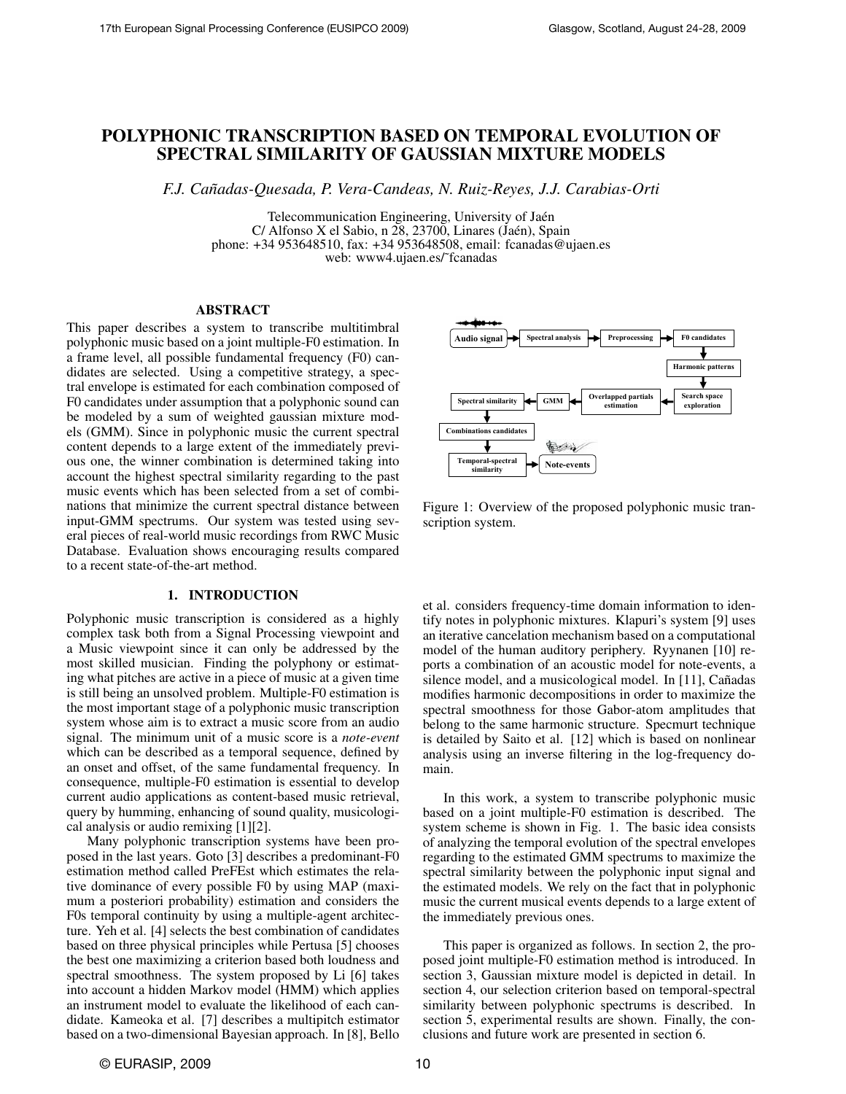# POLYPHONIC TRANSCRIPTION BASED ON TEMPORAL EVOLUTION OF SPECTRAL SIMILARITY OF GAUSSIAN MIXTURE MODELS

*F.J. Canadas-Quesada, P. Vera-Candeas, N. Ruiz-Reyes, J.J. Carabias-Orti ˜*

Telecommunication Engineering, University of Jaén  $C/$  Alfonso X el Sabio, n  $\overline{28}$ , 23700, Linares (Jaén), Spain phone: +34 953648510, fax: +34 953648508, email: fcanadas@ujaen.es web: www4.ujaen.es/˜fcanadas

### ABSTRACT

This paper describes a system to transcribe multitimbral polyphonic music based on a joint multiple-F0 estimation. In a frame level, all possible fundamental frequency (F0) candidates are selected. Using a competitive strategy, a spectral envelope is estimated for each combination composed of F0 candidates under assumption that a polyphonic sound can be modeled by a sum of weighted gaussian mixture models (GMM). Since in polyphonic music the current spectral content depends to a large extent of the immediately previous one, the winner combination is determined taking into account the highest spectral similarity regarding to the past music events which has been selected from a set of combinations that minimize the current spectral distance between input-GMM spectrums. Our system was tested using several pieces of real-world music recordings from RWC Music Database. Evaluation shows encouraging results compared to a recent state-of-the-art method.

# 1. INTRODUCTION

Polyphonic music transcription is considered as a highly complex task both from a Signal Processing viewpoint and a Music viewpoint since it can only be addressed by the most skilled musician. Finding the polyphony or estimating what pitches are active in a piece of music at a given time is still being an unsolved problem. Multiple-F0 estimation is the most important stage of a polyphonic music transcription system whose aim is to extract a music score from an audio signal. The minimum unit of a music score is a *note-event* which can be described as a temporal sequence, defined by an onset and offset, of the same fundamental frequency. In consequence, multiple-F0 estimation is essential to develop current audio applications as content-based music retrieval, query by humming, enhancing of sound quality, musicological analysis or audio remixing [1][2].

Many polyphonic transcription systems have been proposed in the last years. Goto [3] describes a predominant-F0 estimation method called PreFEst which estimates the relative dominance of every possible F0 by using MAP (maximum a posteriori probability) estimation and considers the F0s temporal continuity by using a multiple-agent architecture. Yeh et al. [4] selects the best combination of candidates based on three physical principles while Pertusa [5] chooses the best one maximizing a criterion based both loudness and spectral smoothness. The system proposed by Li [6] takes into account a hidden Markov model (HMM) which applies an instrument model to evaluate the likelihood of each candidate. Kameoka et al. [7] describes a multipitch estimator based on a two-dimensional Bayesian approach. In [8], Bello



Figure 1: Overview of the proposed polyphonic music transcription system.

et al. considers frequency-time domain information to identify notes in polyphonic mixtures. Klapuri's system [9] uses an iterative cancelation mechanism based on a computational model of the human auditory periphery. Ryynanen [10] reports a combination of an acoustic model for note-events, a silence model, and a musicological model. In [11], Cañadas modifies harmonic decompositions in order to maximize the spectral smoothness for those Gabor-atom amplitudes that belong to the same harmonic structure. Specmurt technique is detailed by Saito et al. [12] which is based on nonlinear analysis using an inverse filtering in the log-frequency domain.

In this work, a system to transcribe polyphonic music based on a joint multiple-F0 estimation is described. The system scheme is shown in Fig. 1. The basic idea consists of analyzing the temporal evolution of the spectral envelopes regarding to the estimated GMM spectrums to maximize the spectral similarity between the polyphonic input signal and the estimated models. We rely on the fact that in polyphonic music the current musical events depends to a large extent of the immediately previous ones.

This paper is organized as follows. In section 2, the proposed joint multiple-F0 estimation method is introduced. In section 3, Gaussian mixture model is depicted in detail. In section 4, our selection criterion based on temporal-spectral similarity between polyphonic spectrums is described. In section 5, experimental results are shown. Finally, the conclusions and future work are presented in section 6.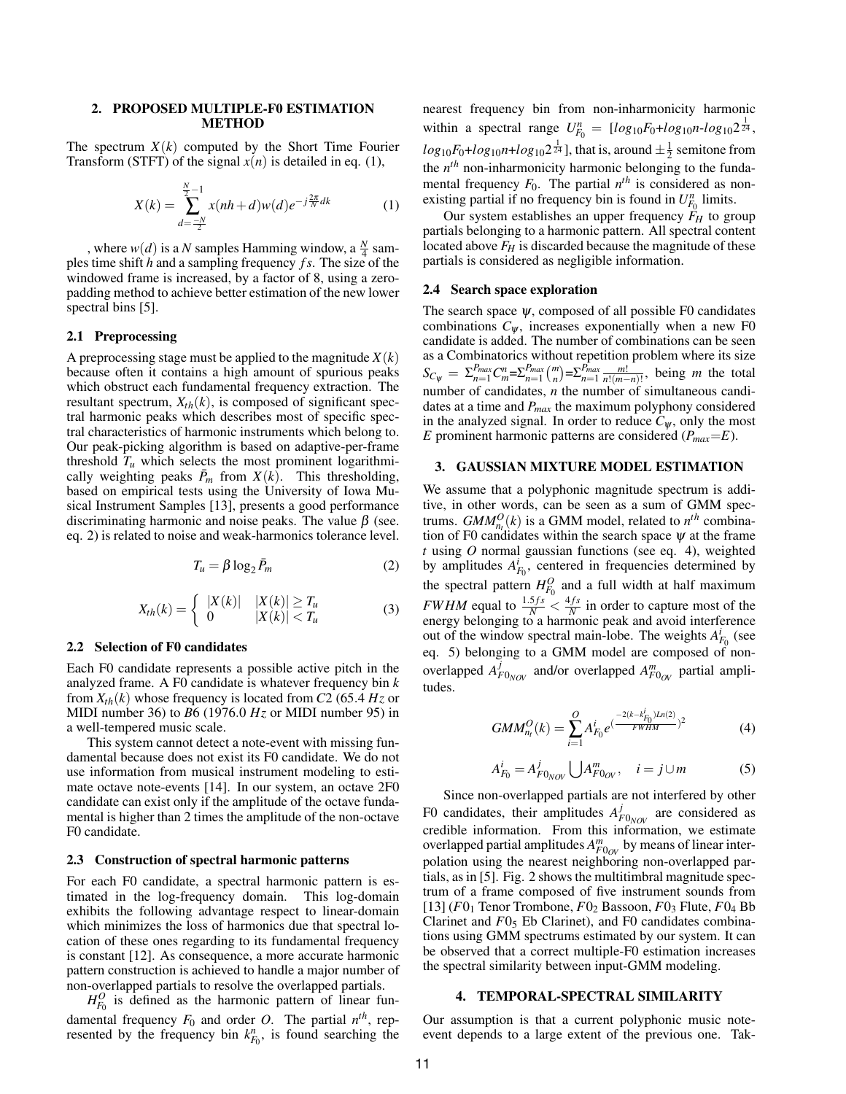#### 2. PROPOSED MULTIPLE-F0 ESTIMATION METHOD

The spectrum *X*(*k*) computed by the Short Time Fourier Transform (STFT) of the signal  $x(n)$  is detailed in eq. (1),

$$
X(k) = \sum_{d=-\frac{N}{2}}^{\frac{N}{2}-1} x(nh+d)w(d)e^{-j\frac{2\pi}{N}dk}
$$
 (1)

, where  $w(d)$  is a *N* samples Hamming window, a  $\frac{N}{4}$  samples time shift *h* and a sampling frequency *f s*. The size of the windowed frame is increased, by a factor of 8, using a zeropadding method to achieve better estimation of the new lower spectral bins [5].

# 2.1 Preprocessing

A preprocessing stage must be applied to the magnitude  $X(k)$ because often it contains a high amount of spurious peaks which obstruct each fundamental frequency extraction. The resultant spectrum,  $X_{th}(k)$ , is composed of significant spectral harmonic peaks which describes most of specific spectral characteristics of harmonic instruments which belong to. Our peak-picking algorithm is based on adaptive-per-frame threshold  $T_u$  which selects the most prominent logarithmically weighting peaks  $\bar{P}_m$  from  $X(k)$ . This thresholding, based on empirical tests using the University of Iowa Musical Instrument Samples [13], presents a good performance discriminating harmonic and noise peaks. The value  $\beta$  (see. eq. 2) is related to noise and weak-harmonics tolerance level.

$$
T_u = \beta \log_2 \bar{P}_m \tag{2}
$$

$$
X_{th}(k) = \begin{cases} |X(k)| & |X(k)| \ge T_u \\ 0 & |X(k)| < T_u \end{cases} \tag{3}
$$

#### 2.2 Selection of F0 candidates

Each F0 candidate represents a possible active pitch in the analyzed frame. A F0 candidate is whatever frequency bin *k* from  $X_{th}(k)$  whose frequency is located from C2 (65.4  $Hz$  or MIDI number 36) to *B*6 (1976.0 *Hz* or MIDI number 95) in a well-tempered music scale.

This system cannot detect a note-event with missing fundamental because does not exist its F0 candidate. We do not use information from musical instrument modeling to estimate octave note-events [14]. In our system, an octave 2F0 candidate can exist only if the amplitude of the octave fundamental is higher than 2 times the amplitude of the non-octave F0 candidate.

#### 2.3 Construction of spectral harmonic patterns

For each F0 candidate, a spectral harmonic pattern is estimated in the log-frequency domain. This log-domain exhibits the following advantage respect to linear-domain which minimizes the loss of harmonics due that spectral location of these ones regarding to its fundamental frequency is constant [12]. As consequence, a more accurate harmonic pattern construction is achieved to handle a major number of non-overlapped partials to resolve the overlapped partials.

 $H_{F_0}^O$  is defined as the harmonic pattern of linear fundamental frequency  $F_0$  and order *O*. The partial  $n^{th}$ , represented by the frequency bin  $k_{F_0}^n$ , is found searching the nearest frequency bin from non-inharmonicity harmonic within a spectral range  $U_{F_0}^n = [log_{10}F_0 + log_{10}n - log_{10}2^{\frac{1}{24}},$  $log_{10}F_0 + log_{10}n + log_{10}2^{\frac{1}{24}}$  ], that is, around  $\pm \frac{1}{2}$  semitone from the *n th* non-inharmonicity harmonic belonging to the fundamental frequency  $F_0$ . The partial  $n^{th}$  is considered as nonexisting partial if no frequency bin is found in  $U_{F_0}^n$  limits.

Our system establishes an upper frequency  $\tilde{F}_H$  to group partials belonging to a harmonic pattern. All spectral content located above *F<sup>H</sup>* is discarded because the magnitude of these partials is considered as negligible information.

#### 2.4 Search space exploration

The search space  $\psi$ , composed of all possible F0 candidates combinations  $C_{\psi}$ , increases exponentially when a new F0 candidate is added. The number of combinations can be seen as a Combinatorics without repetition problem where its size  $S_{C_{\psi}} = \sum_{n=1}^{P_{max}} C_m^n = \sum_{n=1}^{P_{max}} {m \choose n} = \sum_{n=1}^{P_{max}} \frac{m!}{n!(m-n)!}$ , being *m* the total number of candidates, *n* the number of simultaneous candidates at a time and *Pmax* the maximum polyphony considered in the analyzed signal. In order to reduce  $C_{\psi}$ , only the most *E* prominent harmonic patterns are considered (*Pmax*=*E*).

### 3. GAUSSIAN MIXTURE MODEL ESTIMATION

We assume that a polyphonic magnitude spectrum is additive, in other words, can be seen as a sum of GMM spectrums. *GMM*<sup> $O$ </sup><sub>*n<sub>t</sub></sub>* $(k)$  is a GMM model, related to  $n<sup>th</sup>$  combina-</sub> tion of F0 candidates within the search space  $\psi$  at the frame *t* using *O* normal gaussian functions (see eq. 4), weighted by amplitudes  $A_{F_0}^i$ , centered in frequencies determined by the spectral pattern  $H_{F_0}^O$  and a full width at half maximum *FWHM* equal to  $\frac{1.5 fs}{N} < \frac{4 fs}{N}$  in order to capture most of the energy belonging to a harmonic peak and avoid interference out of the window spectral main-lobe. The weights  $A_{F_0}^i$  (see eq. 5) belonging to a GMM model are composed of nonoverlapped  $A^j$  $F_{P_{V|OV}}$  and/or overlapped  $A_{F0_{OV}}^m$  partial amplitudes.

$$
GMM_{n_l}^O(k) = \sum_{i=1}^O A_{F_0}^i e^{(\frac{-2(k-k_{F_0}^i)Ln(2)}{FWHM})^2}
$$
(4)

$$
A_{F_0}^i = A_{F0_{NOV}}^j \bigcup A_{F0_{OV}}^m, \quad i = j \cup m \tag{5}
$$

Since non-overlapped partials are not interfered by other F0 candidates, their amplitudes  $A<sub>F</sub><sup>j</sup>$  $F_{V_{\text{NOV}}}$  are considered as credible information. From this information, we estimate overlapped partial amplitudes  $A^m_{F0_{OV}}$  by means of linear interpolation using the nearest neighboring non-overlapped partials, as in [5]. Fig. 2 shows the multitimbral magnitude spectrum of a frame composed of five instrument sounds from  $[13]$  ( $F0_1$  Tenor Trombone,  $F0_2$  Bassoon,  $F0_3$  Flute,  $F0_4$  Bb Clarinet and  $F0_5$  Eb Clarinet), and F0 candidates combinations using GMM spectrums estimated by our system. It can be observed that a correct multiple-F0 estimation increases the spectral similarity between input-GMM modeling.

#### 4. TEMPORAL-SPECTRAL SIMILARITY

Our assumption is that a current polyphonic music noteevent depends to a large extent of the previous one. Tak-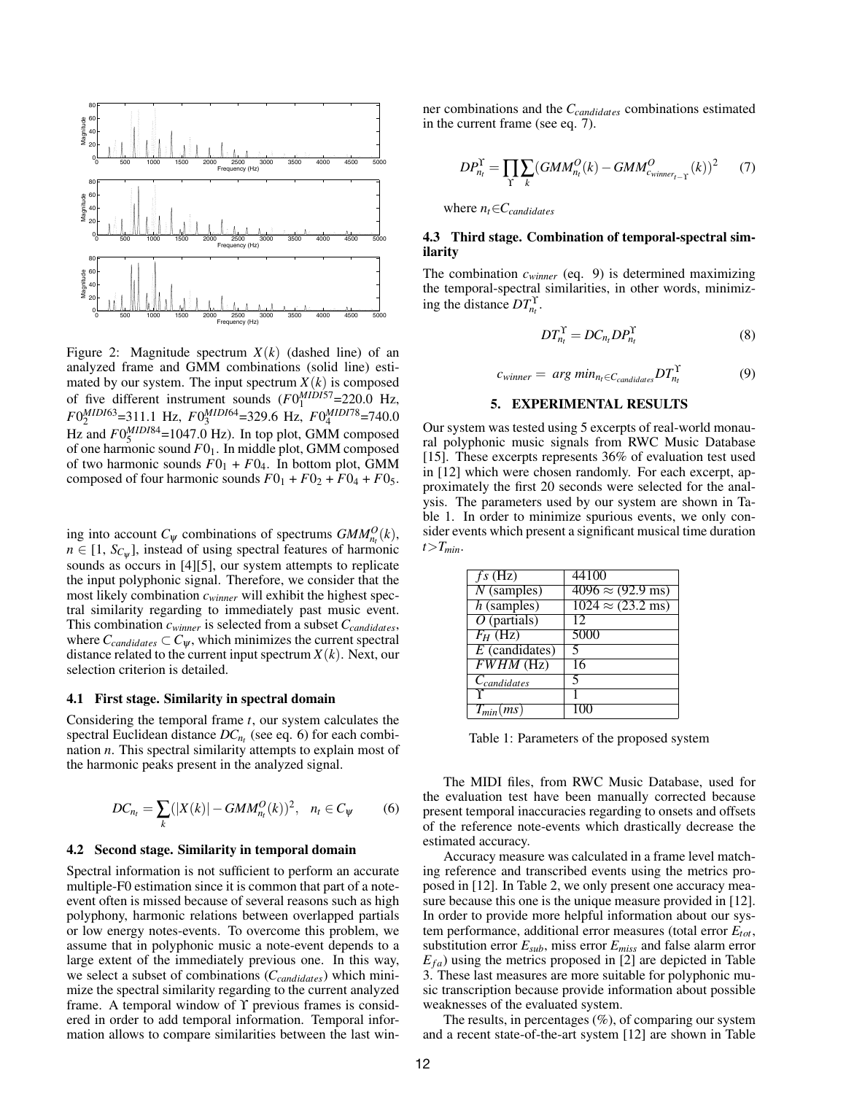

Figure 2: Magnitude spectrum *X*(*k*) (dashed line) of an analyzed frame and GMM combinations (solid line) estimated by our system. The input spectrum  $X(k)$  is composed of five different instrument sounds  $(F0_1^{MIDIS7} = 220.0 \text{ Hz},$  $F0_2^{MIDI63} = 311.1$  Hz,  $F0_3^{MIDI64} = 329.6$  Hz,  $F0_4^{MIDI78} = 740.0$ Hz and  $F0_5^{MIDI84}$ =1047.0 Hz). In top plot, GMM composed of one harmonic sound *F*01. In middle plot, GMM composed of two harmonic sounds  $F0_1 + F0_4$ . In bottom plot, GMM composed of four harmonic sounds  $F0_1 + F0_2 + F0_4 + F0_5$ .

ing into account  $C_{\psi}$  combinations of spectrums  $GMM_{n_t}^O(k)$ ,  $n \in [1, S_{C_{\psi}}]$ , instead of using spectral features of harmonic sounds as occurs in [4][5], our system attempts to replicate the input polyphonic signal. Therefore, we consider that the most likely combination *cwinner* will exhibit the highest spectral similarity regarding to immediately past music event. This combination *cwinner* is selected from a subset *Ccandidates*, where  $C_{candidates} \subset C_{\psi}$ , which minimizes the current spectral distance related to the current input spectrum  $X(k)$ . Next, our selection criterion is detailed.

#### 4.1 First stage. Similarity in spectral domain

Considering the temporal frame *t*, our system calculates the spectral Euclidean distance *DCn<sup>t</sup>* (see eq. 6) for each combination *n*. This spectral similarity attempts to explain most of the harmonic peaks present in the analyzed signal.

$$
DC_{n_t} = \sum_{k} (|X(k)| - GMM_{n_t}^O(k))^2, \quad n_t \in C_{\psi}
$$
 (6)

## 4.2 Second stage. Similarity in temporal domain

Spectral information is not sufficient to perform an accurate multiple-F0 estimation since it is common that part of a noteevent often is missed because of several reasons such as high polyphony, harmonic relations between overlapped partials or low energy notes-events. To overcome this problem, we assume that in polyphonic music a note-event depends to a large extent of the immediately previous one. In this way, we select a subset of combinations (*Ccandidates*) which minimize the spectral similarity regarding to the current analyzed frame. A temporal window of ϒ previous frames is considered in order to add temporal information. Temporal information allows to compare similarities between the last winner combinations and the *Ccandidates* combinations estimated in the current frame (see eq. 7).

$$
DP_{n_t}^{\Upsilon} = \prod_{\Upsilon} \sum_{k} (GMM_{n_t}^O(k) - GMM_{c_{winner_{t-\Upsilon}}^O(k)})^2 \qquad (7)
$$

where *nt*∈*Ccandidates*

# 4.3 Third stage. Combination of temporal-spectral similarity

The combination *cwinner* (eq. 9) is determined maximizing the temporal-spectral similarities, in other words, minimizing the distance  $DT_{n_t}^{\Upsilon}$ .

$$
DT_{n_t}^{\Upsilon} = DC_{n_t} DP_{n_t}^{\Upsilon}
$$
 (8)

$$
c_{winner} = \arg min_{n_t \in C_{candidates}} DT_{n_t}^{\Upsilon}
$$
 (9)

#### 5. EXPERIMENTAL RESULTS

Our system was tested using 5 excerpts of real-world monaural polyphonic music signals from RWC Music Database [15]. These excerpts represents 36% of evaluation test used in [12] which were chosen randomly. For each excerpt, approximately the first 20 seconds were selected for the analysis. The parameters used by our system are shown in Table 1. In order to minimize spurious events, we only consider events which present a significant musical time duration  $t > T_{min}$ .

| $fs$ (Hz)                 | 44100                                   |
|---------------------------|-----------------------------------------|
| $\overline{N}$ (samples)  | $\sqrt{4096} \approx (92.9 \text{ ms})$ |
| $h$ (samples)             | $1024 \approx (23.2 \text{ ms})$        |
| $\overline{O}$ (partials) | 12                                      |
| $F_H$ (Hz)                | 5000                                    |
| $E$ (candidates)          |                                         |
| $FWHM$ (Hz)               | 16                                      |
| $C_{candidates}$          | 5                                       |
|                           |                                         |
| $T_{min}(ms)$             |                                         |

Table 1: Parameters of the proposed system

The MIDI files, from RWC Music Database, used for the evaluation test have been manually corrected because present temporal inaccuracies regarding to onsets and offsets of the reference note-events which drastically decrease the estimated accuracy.

Accuracy measure was calculated in a frame level matching reference and transcribed events using the metrics proposed in [12]. In Table 2, we only present one accuracy measure because this one is the unique measure provided in [12]. In order to provide more helpful information about our system performance, additional error measures (total error *Etot*, substitution error *Esub*, miss error *Emiss* and false alarm error  $E_{fa}$ ) using the metrics proposed in [2] are depicted in Table 3. These last measures are more suitable for polyphonic music transcription because provide information about possible weaknesses of the evaluated system.

The results, in percentages  $(\%)$ , of comparing our system and a recent state-of-the-art system [12] are shown in Table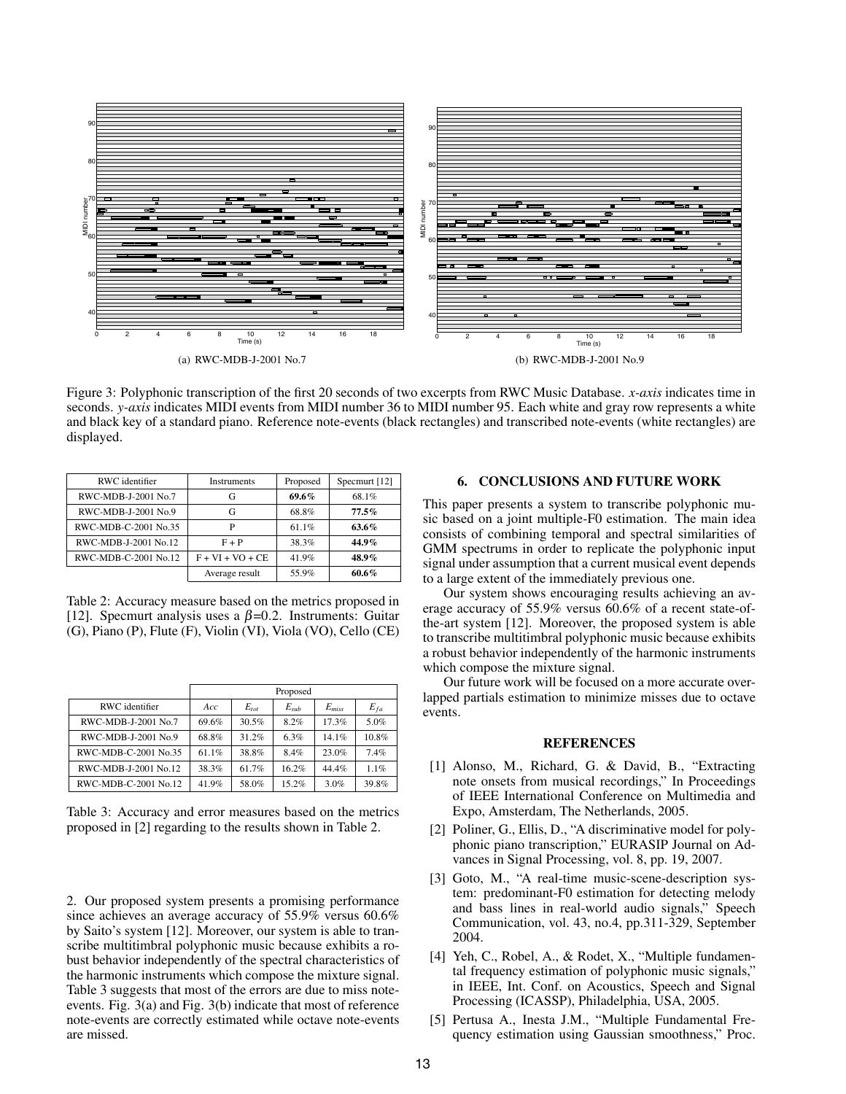

Figure 3: Polyphonic transcription of the first 20 seconds of two excerpts from RWC Music Database. *x-axis* indicates time in seconds. *y-axis* indicates MIDI events from MIDI number 36 to MIDI number 95. Each white and gray row represents a white and black key of a standard piano. Reference note-events (black rectangles) and transcribed note-events (white rectangles) are displayed.

| RWC identifier       | <b>Instruments</b> | Proposed | Specmurt [12] |  |
|----------------------|--------------------|----------|---------------|--|
| RWC-MDB-J-2001 No.7  | G                  | 69.6%    | 68.1%         |  |
| RWC-MDB-J-2001 No.9  | G                  | 68.8%    | $77.5\%$      |  |
| RWC-MDB-C-2001 No.35 | P                  | 61.1%    | 63.6%         |  |
| RWC-MDB-J-2001 No.12 | $F + P$            | 38.3%    | $44.9\%$      |  |
| RWC-MDB-C-2001 No.12 | $F + VI + VO + CE$ | 41.9%    | 48.9%         |  |
|                      | Average result     | 55.9%    | $60.6\%$      |  |

Table 2: Accuracy measure based on the metrics proposed in [12]. Specmurt analysis uses a  $\beta$ =0.2. Instruments: Guitar (G), Piano (P), Flute (F), Violin (VI), Viola (VO), Cello (CE)

|                      | Proposed |           |           |            |          |  |
|----------------------|----------|-----------|-----------|------------|----------|--|
| RWC identifier       | Acc:     | $E_{tot}$ | $E_{sub}$ | $E_{miss}$ | $E_{fa}$ |  |
| RWC-MDB-J-2001 No.7  | 69.6%    | 30.5%     | 8.2%      | 17.3%      | 5.0%     |  |
| RWC-MDB-J-2001 No.9  | 68.8%    | 31.2%     | 6.3%      | 14.1%      | 10.8%    |  |
| RWC-MDB-C-2001 No.35 | 61.1%    | 38.8%     | 8.4%      | 23.0%      | 7.4%     |  |
| RWC-MDB-J-2001 No.12 | 38.3%    | 61.7%     | 16.2%     | 44.4%      | 1.1%     |  |
| RWC-MDB-C-2001 No.12 | 41.9%    | 58.0%     | 15.2%     | 3.0%       | 39.8%    |  |

Table 3: Accuracy and error measures based on the metrics proposed in [2] regarding to the results shown in Table 2.

2. Our proposed system presents a promising performance since achieves an average accuracy of 55.9% versus 60.6% by Saito's system [12]. Moreover, our system is able to transcribe multitimbral polyphonic music because exhibits a robust behavior independently of the spectral characteristics of the harmonic instruments which compose the mixture signal. Table 3 suggests that most of the errors are due to miss noteevents. Fig. 3(a) and Fig. 3(b) indicate that most of reference note-events are correctly estimated while octave note-events are missed.

#### 6. CONCLUSIONS AND FUTURE WORK

This paper presents a system to transcribe polyphonic music based on a joint multiple-F0 estimation. The main idea consists of combining temporal and spectral similarities of GMM spectrums in order to replicate the polyphonic input signal under assumption that a current musical event depends to a large extent of the immediately previous one.

Our system shows encouraging results achieving an average accuracy of 55.9% versus 60.6% of a recent state-ofthe-art system [12]. Moreover, the proposed system is able to transcribe multitimbral polyphonic music because exhibits a robust behavior independently of the harmonic instruments which compose the mixture signal.

Our future work will be focused on a more accurate overlapped partials estimation to minimize misses due to octave events.

#### REFERENCES

- [1] Alonso, M., Richard, G. & David, B., "Extracting note onsets from musical recordings," In Proceedings of IEEE International Conference on Multimedia and Expo, Amsterdam, The Netherlands, 2005.
- [2] Poliner, G., Ellis, D., "A discriminative model for polyphonic piano transcription," EURASIP Journal on Advances in Signal Processing, vol. 8, pp. 19, 2007.
- [3] Goto, M., "A real-time music-scene-description system: predominant-F0 estimation for detecting melody and bass lines in real-world audio signals," Speech Communication, vol. 43, no.4, pp.311-329, September 2004.
- [4] Yeh, C., Robel, A., & Rodet, X., "Multiple fundamental frequency estimation of polyphonic music signals," in IEEE, Int. Conf. on Acoustics, Speech and Signal Processing (ICASSP), Philadelphia, USA, 2005.
- [5] Pertusa A., Inesta J.M., "Multiple Fundamental Frequency estimation using Gaussian smoothness," Proc.